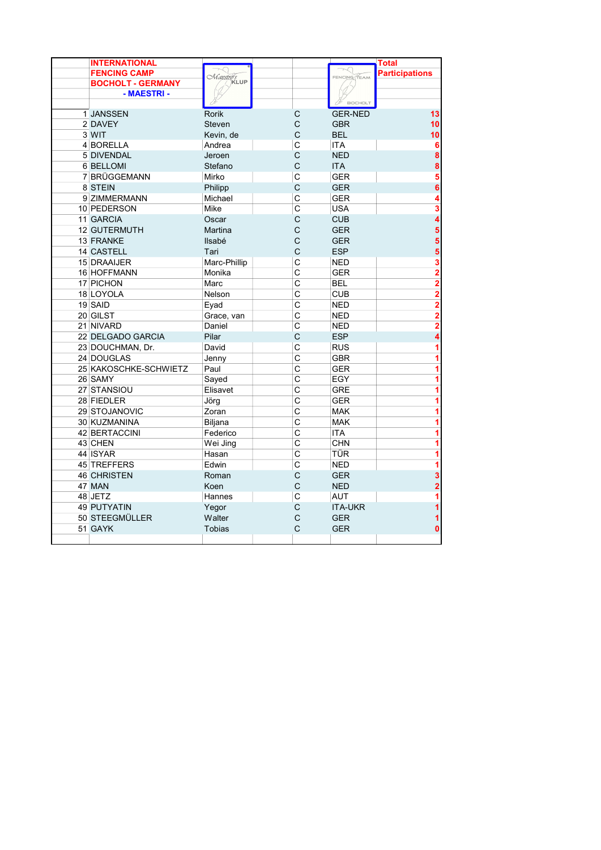| <b>INTERNATIONAL</b>     |                                                                                                                                                                                                                                                                                                                                                                                                                       | <b>Total</b> |                         |                |                       |  |  |
|--------------------------|-----------------------------------------------------------------------------------------------------------------------------------------------------------------------------------------------------------------------------------------------------------------------------------------------------------------------------------------------------------------------------------------------------------------------|--------------|-------------------------|----------------|-----------------------|--|--|
| <b>FENCING CAMP</b>      |                                                                                                                                                                                                                                                                                                                                                                                                                       |              |                         | FENCING TEAM   | <b>Participations</b> |  |  |
| <b>BOCHOLT - GERMANY</b> | $\frac{K_{\text{A}}}{K_{\text{A}}}\frac{K_{\text{A}}}{K_{\text{A}}}\frac{K_{\text{A}}}{K_{\text{A}}}\frac{K_{\text{A}}}{K_{\text{A}}}\frac{K_{\text{A}}}{K_{\text{A}}}\frac{K_{\text{A}}}{K_{\text{A}}}\frac{K_{\text{A}}}{K_{\text{A}}}\frac{K_{\text{A}}}{K_{\text{A}}}\frac{K_{\text{A}}}{K_{\text{A}}}\frac{K_{\text{A}}}{K_{\text{A}}}\frac{K_{\text{A}}}{K_{\text{A}}}\frac{K_{\text{A}}}{K_{\text{A}}}\frac{K$ |              |                         |                |                       |  |  |
| - MAESTRI -              |                                                                                                                                                                                                                                                                                                                                                                                                                       |              |                         |                |                       |  |  |
|                          |                                                                                                                                                                                                                                                                                                                                                                                                                       |              |                         | BOCHOLT        |                       |  |  |
| 1 JANSSEN                | <b>Rorik</b>                                                                                                                                                                                                                                                                                                                                                                                                          |              | С                       | <b>GER-NED</b> | 13                    |  |  |
| 2 DAVEY                  | <b>Steven</b>                                                                                                                                                                                                                                                                                                                                                                                                         |              | C                       | <b>GBR</b>     | 10                    |  |  |
| 3 WIT                    | Kevin, de                                                                                                                                                                                                                                                                                                                                                                                                             |              | C                       | <b>BEL</b>     | 10                    |  |  |
| 4 BORELLA                | Andrea                                                                                                                                                                                                                                                                                                                                                                                                                |              | $\mathsf{C}$            | <b>ITA</b>     |                       |  |  |
| <b>5 DIVENDAL</b>        | Jeroen                                                                                                                                                                                                                                                                                                                                                                                                                |              | C                       | <b>NED</b>     | 8                     |  |  |
| <b>6 BELLOMI</b>         | Stefano                                                                                                                                                                                                                                                                                                                                                                                                               |              | $\mathsf{C}$            | <b>ITA</b>     | 8                     |  |  |
| 7 BRÜGGEMANN             | Mirko                                                                                                                                                                                                                                                                                                                                                                                                                 |              | C                       | <b>GER</b>     | 5                     |  |  |
| 8 STEIN                  | Philipp                                                                                                                                                                                                                                                                                                                                                                                                               |              | C                       | <b>GER</b>     | 6                     |  |  |
| 9 ZIMMERMANN             | Michael                                                                                                                                                                                                                                                                                                                                                                                                               |              | $\mathsf{C}$            | <b>GER</b>     |                       |  |  |
| 10 PEDERSON              | Mike                                                                                                                                                                                                                                                                                                                                                                                                                  |              | $\overline{C}$          | <b>USA</b>     | 3                     |  |  |
| 11 GARCIA                | Oscar                                                                                                                                                                                                                                                                                                                                                                                                                 |              | C                       | <b>CUB</b>     | 4                     |  |  |
| <b>12 GUTERMUTH</b>      | <b>Martina</b>                                                                                                                                                                                                                                                                                                                                                                                                        |              | C                       | <b>GER</b>     | 5                     |  |  |
| 13 FRANKE                | Ilsabé                                                                                                                                                                                                                                                                                                                                                                                                                |              | C                       | <b>GER</b>     |                       |  |  |
| 14 CASTELL               | Tari                                                                                                                                                                                                                                                                                                                                                                                                                  |              | C                       | <b>ESP</b>     | 5                     |  |  |
| 15 DRAAIJER              | Marc-Phillip                                                                                                                                                                                                                                                                                                                                                                                                          |              | $\mathsf{C}$            | <b>NED</b>     | 3                     |  |  |
| 16 HOFFMANN              | Monika                                                                                                                                                                                                                                                                                                                                                                                                                |              | Ċ                       | <b>GER</b>     | $\overline{2}$        |  |  |
| 17 PICHON                | Marc                                                                                                                                                                                                                                                                                                                                                                                                                  |              | $\overline{\mathrm{c}}$ | <b>BEL</b>     | 2                     |  |  |
| 18 LOYOLA                | Nelson                                                                                                                                                                                                                                                                                                                                                                                                                |              | $\overline{c}$          | <b>CUB</b>     | $\overline{2}$        |  |  |
| 19 SAID                  | Eyad                                                                                                                                                                                                                                                                                                                                                                                                                  |              | $\mathsf{C}$            | <b>NED</b>     | 2                     |  |  |
| 20 GILST                 | Grace, van                                                                                                                                                                                                                                                                                                                                                                                                            |              | $\overline{C}$          | <b>NED</b>     | $\overline{2}$        |  |  |
| 21 NIVARD                | Daniel                                                                                                                                                                                                                                                                                                                                                                                                                |              | $\overline{C}$          | <b>NED</b>     | 2                     |  |  |
| 22 DELGADO GARCIA        | Pilar                                                                                                                                                                                                                                                                                                                                                                                                                 |              | $\mathsf{C}$            | <b>ESP</b>     |                       |  |  |
| 23 DOUCHMAN, Dr.         | David                                                                                                                                                                                                                                                                                                                                                                                                                 |              | $\overline{C}$          | <b>RUS</b>     |                       |  |  |
| 24 DOUGLAS               | Jenny                                                                                                                                                                                                                                                                                                                                                                                                                 |              | Ċ                       | <b>GBR</b>     |                       |  |  |
| 25 KAKOSCHKE-SCHWIETZ    | Paul                                                                                                                                                                                                                                                                                                                                                                                                                  |              | $\overline{\mathrm{c}}$ | <b>GER</b>     |                       |  |  |
| 26 SAMY                  | Sayed                                                                                                                                                                                                                                                                                                                                                                                                                 |              | $\mathsf{C}$            | EGY            |                       |  |  |
| 27 STANSIOU              | Elisavet                                                                                                                                                                                                                                                                                                                                                                                                              |              | C                       | <b>GRE</b>     |                       |  |  |
| 28 FIEDLER               | Jörg                                                                                                                                                                                                                                                                                                                                                                                                                  |              | $\overline{C}$          | <b>GER</b>     |                       |  |  |
| 29 STOJANOVIC            | Zoran                                                                                                                                                                                                                                                                                                                                                                                                                 |              | C                       | <b>MAK</b>     |                       |  |  |
| 30 KUZMANINA             | <b>Biljana</b>                                                                                                                                                                                                                                                                                                                                                                                                        |              | $\overline{c}$          | <b>MAK</b>     |                       |  |  |
| 42 BERTACCINI            | Federico                                                                                                                                                                                                                                                                                                                                                                                                              |              | $\overline{\mathsf{C}}$ | <b>ITA</b>     |                       |  |  |
| 43 CHEN                  | Wei Jing                                                                                                                                                                                                                                                                                                                                                                                                              |              | Ċ                       | <b>CHN</b>     |                       |  |  |
| 44 ISYAR                 | Hasan                                                                                                                                                                                                                                                                                                                                                                                                                 |              | $\overline{C}$          | TÜR            |                       |  |  |
| 45 TREFFERS              | Edwin                                                                                                                                                                                                                                                                                                                                                                                                                 |              | $\overline{c}$          | <b>NED</b>     |                       |  |  |
| <b>46 CHRISTEN</b>       | Roman                                                                                                                                                                                                                                                                                                                                                                                                                 |              | C                       | <b>GER</b>     | 3                     |  |  |
| 47 MAN                   | Koen                                                                                                                                                                                                                                                                                                                                                                                                                  |              | C                       | <b>NED</b>     |                       |  |  |
| 48 JETZ                  | Hannes                                                                                                                                                                                                                                                                                                                                                                                                                |              | $\mathsf{C}$            | <b>AUT</b>     |                       |  |  |
| <b>49 PUTYATIN</b>       | Yegor                                                                                                                                                                                                                                                                                                                                                                                                                 |              | $\mathsf{C}$            | <b>ITA-UKR</b> |                       |  |  |
| 50 STEEGMÜLLER           | Walter                                                                                                                                                                                                                                                                                                                                                                                                                |              | C                       | <b>GER</b>     |                       |  |  |
| 51 GAYK                  | <b>Tobias</b>                                                                                                                                                                                                                                                                                                                                                                                                         |              | Ċ                       | <b>GER</b>     | $\mathbf 0$           |  |  |
|                          |                                                                                                                                                                                                                                                                                                                                                                                                                       |              |                         |                |                       |  |  |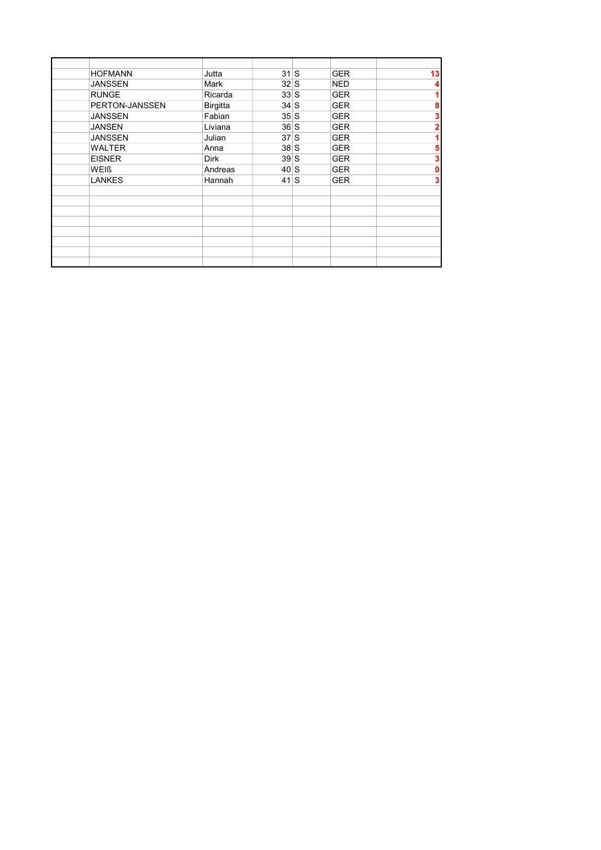| <b>HOFMANN</b> | Jutta           | 31S       | <b>GER</b> | 13          |
|----------------|-----------------|-----------|------------|-------------|
| <b>JANSSEN</b> | Mark            | $32 \,$ S | <b>NED</b> | 4           |
| <b>RUNGE</b>   | Ricarda         | 33S       | <b>GER</b> |             |
| PERTON-JANSSEN | <b>Birgitta</b> | 34S       | <b>GER</b> | 8           |
| <b>JANSSEN</b> | Fabian          | 35S       | <b>GER</b> | 3           |
| <b>JANSEN</b>  | Liviana         | 36S       | <b>GER</b> | 2           |
| <b>JANSSEN</b> | Julian          | 37S       | <b>GER</b> |             |
| <b>WALTER</b>  | Anna            | 38S       | <b>GER</b> | 5           |
| <b>EISNER</b>  | <b>Dirk</b>     | 39S       | <b>GER</b> | 3           |
| WEIß           | Andreas         | 40S       | <b>GER</b> | $\mathbf 0$ |
| <b>LANKES</b>  | Hannah          | 41S       | <b>GER</b> | 3           |
|                |                 |           |            |             |
|                |                 |           |            |             |
|                |                 |           |            |             |
|                |                 |           |            |             |
|                |                 |           |            |             |
|                |                 |           |            |             |
|                |                 |           |            |             |
|                |                 |           |            |             |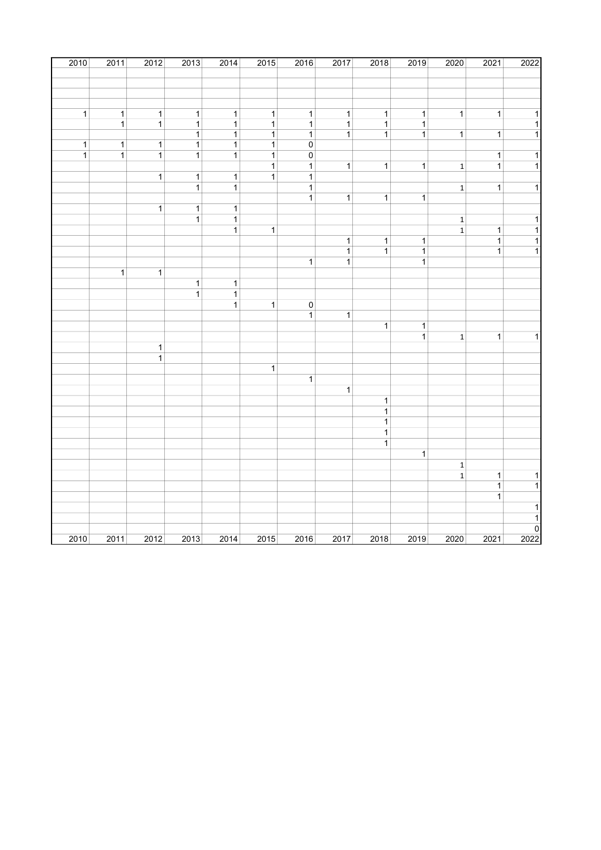| 2010           | 2011           | 2012                         | 2013           | 2014           | $\frac{2015}{ }$ | 2016                    | 2017           | 2018           | 2019           | 2020                    | 2021                | 2022                                       |
|----------------|----------------|------------------------------|----------------|----------------|------------------|-------------------------|----------------|----------------|----------------|-------------------------|---------------------|--------------------------------------------|
|                |                |                              |                |                |                  |                         |                |                |                |                         |                     |                                            |
|                |                |                              |                |                |                  |                         |                |                |                |                         |                     |                                            |
|                |                |                              |                |                |                  |                         |                |                |                |                         |                     |                                            |
| $\overline{1}$ | $\overline{1}$ | $\mathbf{1}$                 | $\mathbf{1}$   | $\mathbf{1}$   | $\overline{1}$   | $\overline{1}$          | $\mathbf 1$    | $\mathbf 1$    | $\mathbf{1}$   | $\overline{1}$          | $\overline{1}$      | $\mathbf{1}$                               |
|                | $\mathbf{1}$   | $\mathbf{1}$                 | $\mathbf{1}$   | $\mathbf{1}$   | $\mathbf 1$      | $\mathbf{1}$            | $\mathbf{1}$   | $\mathbf{1}$   | $\mathbf{1}$   |                         |                     | $\mathbf{1}$                               |
|                |                |                              | $\mathbf{1}$   | $\mathbf{1}$   | $\mathbf{1}$     | $\mathbf{1}$            | $\mathbf{1}$   | $\mathbf 1$    | $\mathbf{1}$   | $\mathbf{1}$            | $\mathbf{1}$        | $\mathbf{1}$                               |
| $\overline{1}$ | $\overline{1}$ | $\overline{1}$               | $\overline{1}$ | $\mathbf{1}$   | $\mathbf{1}$     | $\mathbf 0$             |                |                |                |                         |                     |                                            |
| $\overline{1}$ | $\mathbf{1}$   | $\mathbf{1}$                 | $\mathbf{1}$   | $\mathbf{1}$   | $\mathbf 1$      | $\pmb{0}$               |                |                |                |                         | $\mathbf{1}$        | $\mathbf{1}$                               |
|                |                |                              |                |                | $\overline{1}$   | $\mathbf{1}$            | $\overline{1}$ | $\mathbf 1$    | $\mathbf{1}$   | $\mathbf 1$             | $\mathbf{1}$        | $\overline{1}$                             |
|                |                | $\overline{1}$               | $\mathbf{1}$   | $\overline{1}$ | $\mathbf{1}$     | $\mathbf{1}$            |                |                |                |                         |                     |                                            |
|                |                |                              | $\overline{1}$ | $\mathbf{1}$   |                  | $\mathbf{1}$            |                |                |                | $\mathbf{1}$            | $\mathbf{1}$        | $\overline{1}$                             |
|                |                | $\overline{1}$               | $\mathbf{1}$   | $\mathbf{1}$   |                  | $\overline{1}$          | $\mathbf{1}$   | $\overline{1}$ | $\mathbf{1}$   |                         |                     |                                            |
|                |                |                              | $\mathbf{1}$   | $\mathbf{1}$   |                  |                         |                |                |                | $\mathbf 1$             |                     | $\overline{1}$                             |
|                |                |                              |                | $\overline{1}$ | $\overline{1}$   |                         |                |                |                | $\overline{\mathbf{1}}$ | $\overline{1}$      | $\overline{1}$                             |
|                |                |                              |                |                |                  |                         | $\mathbf{1}$   | $\mathbf{1}$   | $\mathbf 1$    |                         | $\mathbf{1}$        | $\overline{1}$                             |
|                |                |                              |                |                |                  |                         | $\overline{1}$ | $\overline{1}$ | $\overline{1}$ |                         | $\overline{1}$      | $\overline{1}$                             |
|                |                |                              |                |                |                  | $\overline{1}$          | $\overline{1}$ |                | $\overline{1}$ |                         |                     |                                            |
|                | $\overline{1}$ | $\mathbf{1}$                 |                |                |                  |                         |                |                |                |                         |                     |                                            |
|                |                |                              | $\mathbf{1}$   | $\mathbf{1}$   |                  |                         |                |                |                |                         |                     |                                            |
|                |                |                              | $\overline{1}$ | $\mathbf{1}$   |                  |                         |                |                |                |                         |                     |                                            |
|                |                |                              |                | $\mathbf{1}$   | $\overline{1}$   | $\overline{\mathbf{0}}$ |                |                |                |                         |                     |                                            |
|                |                |                              |                |                |                  | $\overline{1}$          | $\mathbf{1}$   |                |                |                         |                     |                                            |
|                |                |                              |                |                |                  |                         |                | $\mathbf{1}$   | $\mathbf{1}$   |                         |                     |                                            |
|                |                |                              |                |                |                  |                         |                |                | $\mathbf{1}$   | $\mathbf 1$             | $\overline{1}$      | $\overline{1}$                             |
|                |                | $\mathbf{1}$<br>$\mathbf{1}$ |                |                |                  |                         |                |                |                |                         |                     |                                            |
|                |                |                              |                |                | $\mathbf{1}$     |                         |                |                |                |                         |                     |                                            |
|                |                |                              |                |                |                  | $\overline{1}$          |                |                |                |                         |                     |                                            |
|                |                |                              |                |                |                  |                         | $\overline{1}$ |                |                |                         |                     |                                            |
|                |                |                              |                |                |                  |                         |                | $\mathbf 1$    |                |                         |                     |                                            |
|                |                |                              |                |                |                  |                         |                | $\overline{1}$ |                |                         |                     |                                            |
|                |                |                              |                |                |                  |                         |                | $\mathbf 1$    |                |                         |                     |                                            |
|                |                |                              |                |                |                  |                         |                | $\overline{1}$ |                |                         |                     |                                            |
|                |                |                              |                |                |                  |                         |                | $\mathbf{1}$   |                |                         |                     |                                            |
|                |                |                              |                |                |                  |                         |                |                | $\overline{1}$ |                         |                     |                                            |
|                |                |                              |                |                |                  |                         |                |                |                | $\mathbf 1$             |                     |                                            |
|                |                |                              |                |                |                  |                         |                |                |                | $\mathbf 1$             | 1<br>$\overline{1}$ | $\mathbf 1$<br>$\overline{1}$              |
|                |                |                              |                |                |                  |                         |                |                |                |                         | $\overline{1}$      |                                            |
|                |                |                              |                |                |                  |                         |                |                |                |                         |                     | 1                                          |
|                |                |                              |                |                |                  |                         |                |                |                |                         |                     | $\mathbf{1}$                               |
|                |                |                              |                |                |                  |                         |                |                |                |                         |                     |                                            |
| 2010           | 2011           | 2012                         | 2013           | 2014           | 2015             | 2016                    | 2017           | 2018           | 2019           | 2020                    | 2021                | $\begin{array}{c}\n0 \\ 2022\n\end{array}$ |